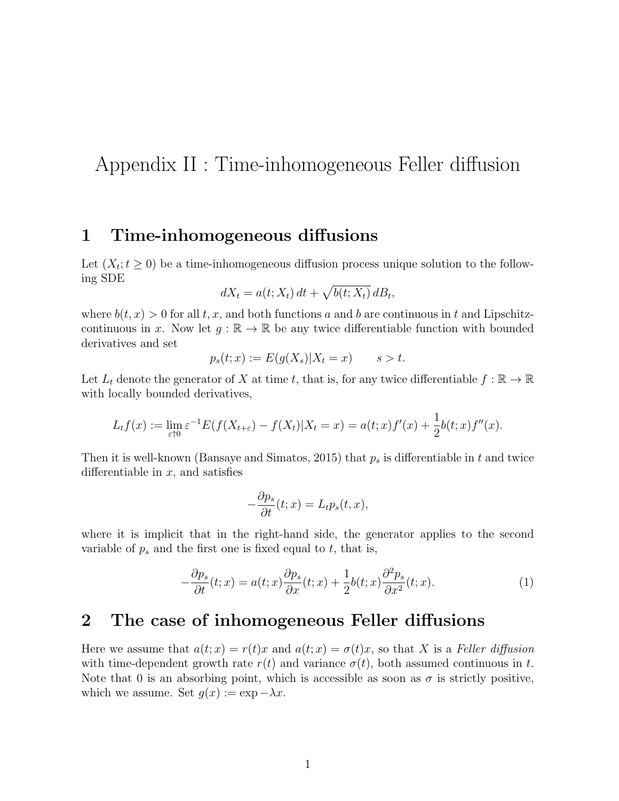# Appendix II : Time-inhomogeneous Feller diffusion

#### 1 Time-inhomogeneous diffusions

Let  $(X_t; t \geq 0)$  be a time-inhomogeneous diffusion process unique solution to the following SDE

$$
dX_t = a(t; X_t) dt + \sqrt{b(t; X_t)} dB_t,
$$

where  $b(t, x) > 0$  for all t, x, and both functions a and b are continuous in t and Lipschitzcontinuous in x. Now let  $g : \mathbb{R} \to \mathbb{R}$  be any twice differentiable function with bounded derivatives and set

$$
p_s(t; x) := E(g(X_s)|X_t = x) \qquad s > t.
$$

Let  $L_t$  denote the generator of X at time t, that is, for any twice differentiable  $f : \mathbb{R} \to \mathbb{R}$ with locally bounded derivatives,

$$
L_t f(x) := \lim_{\varepsilon \uparrow 0} \varepsilon^{-1} E(f(X_{t+\varepsilon}) - f(X_t)|X_t = x) = a(t; x) f'(x) + \frac{1}{2} b(t; x) f''(x).
$$

Then it is well-known (Bansaye and Simatos, 2015) that  $p_s$  is differentiable in t and twice differentiable in  $x$ , and satisfies

$$
-\frac{\partial p_s}{\partial t}(t; x) = L_t p_s(t, x),
$$

where it is implicit that in the right-hand side, the generator applies to the second variable of  $p_s$  and the first one is fixed equal to  $t$ , that is,

$$
-\frac{\partial p_s}{\partial t}(t;x) = a(t;x)\frac{\partial p_s}{\partial x}(t;x) + \frac{1}{2}b(t;x)\frac{\partial^2 p_s}{\partial x^2}(t;x).
$$
 (1)

### 2 The case of inhomogeneous Feller diffusions

Here we assume that  $a(t; x) = r(t)x$  and  $a(t; x) = \sigma(t)x$ , so that X is a Feller diffusion with time-dependent growth rate  $r(t)$  and variance  $\sigma(t)$ , both assumed continuous in t. Note that 0 is an absorbing point, which is accessible as soon as  $\sigma$  is strictly positive, which we assume. Set  $g(x) := \exp(-\lambda x)$ .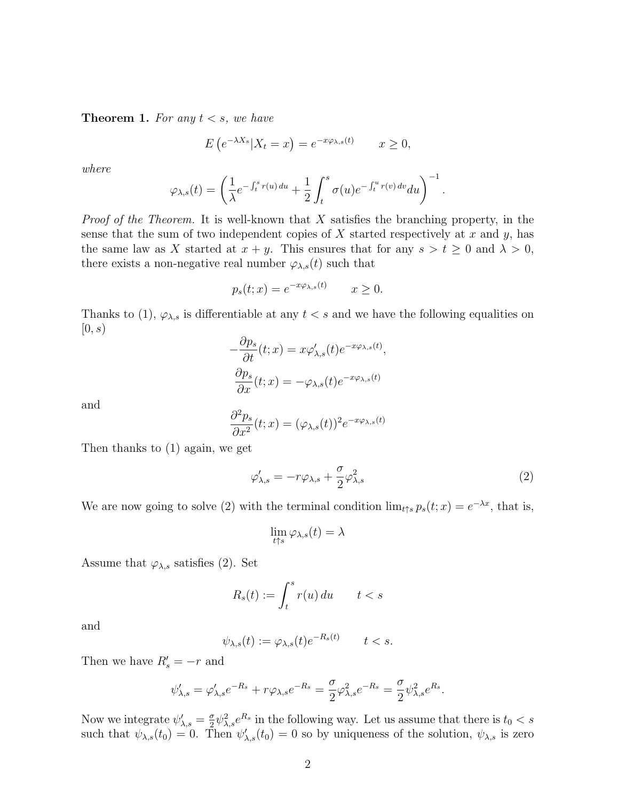**Theorem 1.** For any  $t < s$ , we have

$$
E\left(e^{-\lambda X_s}|X_t = x\right) = e^{-x\varphi_{\lambda,s}(t)} \qquad x \ge 0,
$$

where

$$
\varphi_{\lambda,s}(t) = \left(\frac{1}{\lambda}e^{-\int_t^s r(u) du} + \frac{1}{2}\int_t^s \sigma(u)e^{-\int_t^u r(v) dv} du\right)^{-1}.
$$

*Proof of the Theorem.* It is well-known that  $X$  satisfies the branching property, in the sense that the sum of two independent copies of X started respectively at x and y, has the same law as X started at  $x + y$ . This ensures that for any  $s > t \geq 0$  and  $\lambda > 0$ , there exists a non-negative real number  $\varphi_{\lambda,s}(t)$  such that

$$
p_s(t; x) = e^{-x\varphi_{\lambda, s}(t)} \qquad x \ge 0.
$$

Thanks to (1),  $\varphi_{\lambda,s}$  is differentiable at any  $t < s$  and we have the following equalities on  $[0, s)$ 

$$
-\frac{\partial p_s}{\partial t}(t; x) = x\varphi'_{\lambda, s}(t)e^{-x\varphi_{\lambda, s}(t)},
$$

$$
\frac{\partial p_s}{\partial x}(t; x) = -\varphi_{\lambda, s}(t)e^{-x\varphi_{\lambda, s}(t)}
$$

and

$$
\frac{\partial^2 p_s}{\partial x^2}(t;x) = (\varphi_{\lambda,s}(t))^2 e^{-x\varphi_{\lambda,s}(t)}
$$

Then thanks to (1) again, we get

$$
\varphi'_{\lambda,s} = -r\varphi_{\lambda,s} + \frac{\sigma}{2}\varphi_{\lambda,s}^2 \tag{2}
$$

We are now going to solve (2) with the terminal condition  $\lim_{t \uparrow s} p_s(t; x) = e^{-\lambda x}$ , that is,

$$
\lim_{t\uparrow s}\varphi_{\lambda,s}(t)=\lambda
$$

Assume that  $\varphi_{\lambda,s}$  satisfies (2). Set

$$
R_s(t) := \int_t^s r(u) \, du \qquad t < s
$$

and

$$
\psi_{\lambda,s}(t) := \varphi_{\lambda,s}(t)e^{-R_s(t)} \qquad t < s.
$$

Then we have  $R'_s = -r$  and

$$
\psi'_{\lambda,s} = \varphi'_{\lambda,s} e^{-R_s} + r \varphi_{\lambda,s} e^{-R_s} = \frac{\sigma}{2} \varphi_{\lambda,s}^2 e^{-R_s} = \frac{\sigma}{2} \psi_{\lambda,s}^2 e^{R_s}.
$$

Now we integrate  $\psi'_{\lambda,s} = \frac{\sigma}{2}$  $\frac{\sigma}{2} \psi_{\lambda,s}^2 e^{R_s}$  in the following way. Let us assume that there is  $t_0 < s$ such that  $\psi_{\lambda,s}(t_0) = 0$ . Then  $\psi'_{\lambda,s}(t_0) = 0$  so by uniqueness of the solution,  $\psi_{\lambda,s}$  is zero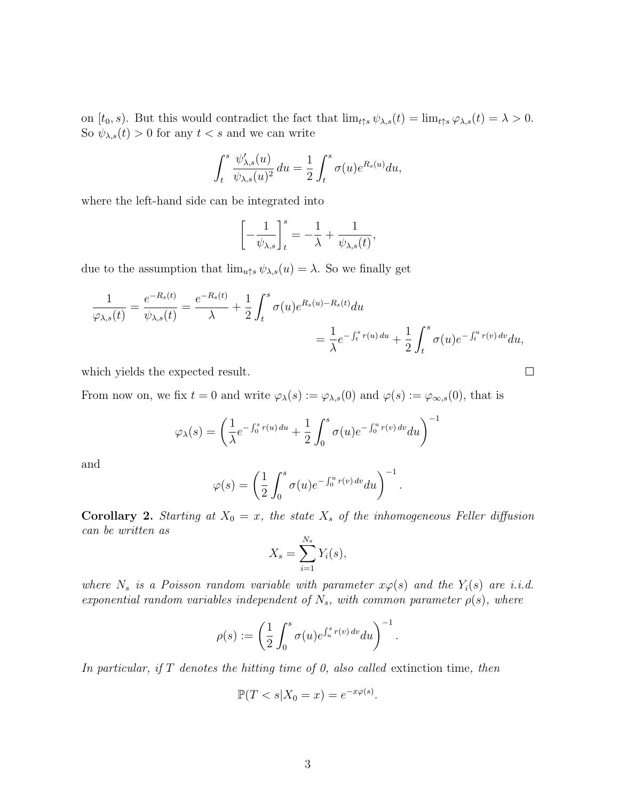on  $[t_0, s)$ . But this would contradict the fact that  $\lim_{t \uparrow s} \psi_{\lambda,s}(t) = \lim_{t \uparrow s} \varphi_{\lambda,s}(t) = \lambda > 0$ . So  $\psi_{\lambda,s}(t) > 0$  for any  $t < s$  and we can write

$$
\int_t^s \frac{\psi'_{\lambda,s}(u)}{\psi_{\lambda,s}(u)^2} du = \frac{1}{2} \int_t^s \sigma(u) e^{R_s(u)} du,
$$

where the left-hand side can be integrated into

$$
\left[-\frac{1}{\psi_{\lambda,s}}\right]_t^s=-\frac{1}{\lambda}+\frac{1}{\psi_{\lambda,s}(t)},
$$

due to the assumption that  $\lim_{u \uparrow s} \psi_{\lambda,s}(u) = \lambda$ . So we finally get

$$
\frac{1}{\varphi_{\lambda,s}(t)} = \frac{e^{-R_s(t)}}{\psi_{\lambda,s}(t)} = \frac{e^{-R_s(t)}}{\lambda} + \frac{1}{2} \int_t^s \sigma(u) e^{R_s(u) - R_s(t)} du \n= \frac{1}{\lambda} e^{-\int_t^s r(u) du} + \frac{1}{2} \int_t^s \sigma(u) e^{-\int_t^u r(v) dv} du,
$$

which yields the expected result.

From now on, we fix  $t = 0$  and write  $\varphi_{\lambda}(s) := \varphi_{\lambda,s}(0)$  and  $\varphi(s) := \varphi_{\infty,s}(0)$ , that is

$$
\varphi_{\lambda}(s) = \left(\frac{1}{\lambda}e^{-\int_0^s r(u) du} + \frac{1}{2}\int_0^s \sigma(u)e^{-\int_0^u r(v) dv} du\right)^{-1}
$$

and

$$
\varphi(s) = \left(\frac{1}{2} \int_0^s \sigma(u) e^{-\int_0^u r(v) dv} du\right)^{-1}.
$$

**Corollary 2.** Starting at  $X_0 = x$ , the state  $X_s$  of the inhomogeneous Feller diffusion can be written as

$$
X_s = \sum_{i=1}^{N_s} Y_i(s),
$$

where  $N_s$  is a Poisson random variable with parameter  $x\varphi(s)$  and the  $Y_i(s)$  are i.i.d. exponential random variables independent of  $N_s$ , with common parameter  $\rho(s)$ , where

$$
\rho(s) := \left(\frac{1}{2} \int_0^s \sigma(u) e^{\int_u^s r(v) dv} du\right)^{-1}.
$$

In particular, if  $T$  denotes the hitting time of 0, also called extinction time, then

$$
\mathbb{P}(T < s | X_0 = x) = e^{-x\varphi(s)}.
$$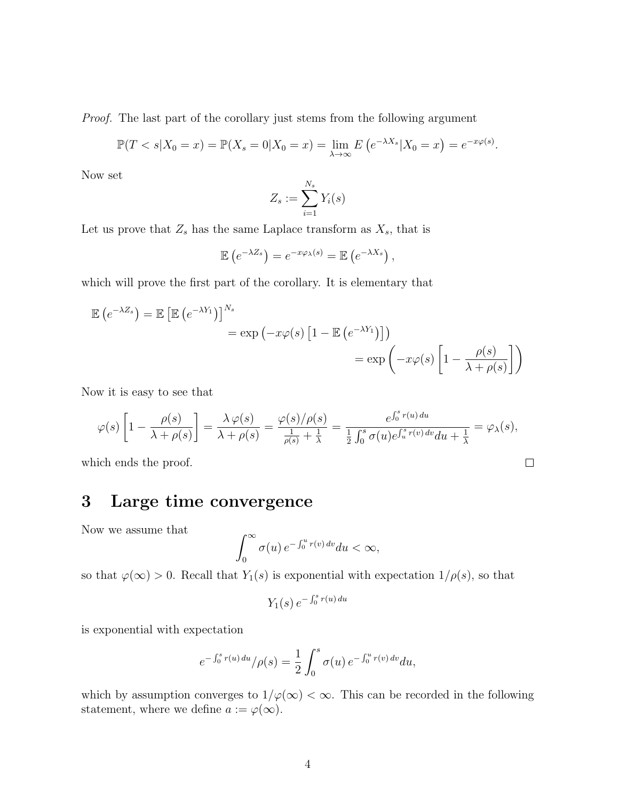Proof. The last part of the corollary just stems from the following argument

$$
\mathbb{P}(T < s | X_0 = x) = \mathbb{P}(X_s = 0 | X_0 = x) = \lim_{\lambda \to \infty} E\left(e^{-\lambda X_s} | X_0 = x\right) = e^{-x\varphi(s)}.
$$

Now set

$$
Z_s := \sum_{i=1}^{N_s} Y_i(s)
$$

Let us prove that  $Z_s$  has the same Laplace transform as  $X_s$ , that is

$$
\mathbb{E}\left(e^{-\lambda Z_s}\right) = e^{-x\varphi_\lambda(s)} = \mathbb{E}\left(e^{-\lambda X_s}\right),
$$

which will prove the first part of the corollary. It is elementary that

$$
\mathbb{E}\left(e^{-\lambda Z_s}\right) = \mathbb{E}\left[\mathbb{E}\left(e^{-\lambda Y_1}\right)\right]^{N_s} = \exp\left(-x\varphi(s)\left[1 - \mathbb{E}\left(e^{-\lambda Y_1}\right)\right]\right)
$$

$$
= \exp\left(-x\varphi(s)\left[1 - \frac{\rho(s)}{\lambda + \rho(s)}\right]\right)
$$

Now it is easy to see that

$$
\varphi(s)\left[1-\frac{\rho(s)}{\lambda+\rho(s)}\right]=\frac{\lambda\,\varphi(s)}{\lambda+\rho(s)}=\frac{\varphi(s)/\rho(s)}{\frac{1}{\rho(s)}+\frac{1}{\lambda}}=\frac{e^{\int_0^sr(u)\,du}}{\frac{1}{2}\int_0^s\sigma(u)e^{\int_u^sr(v)\,dv}du+\frac{1}{\lambda}}=\varphi_\lambda(s),
$$

 $\Box$ 

which ends the proof.

## 3 Large time convergence

Now we assume that

$$
\int_0^\infty \sigma(u) \, e^{-\int_0^u r(v) \, dv} du < \infty,
$$

so that  $\varphi(\infty) > 0$ . Recall that  $Y_1(s)$  is exponential with expectation  $1/\rho(s)$ , so that

$$
Y_1(s) \, e^{-\int_0^s r(u) \, du}
$$

is exponential with expectation

$$
e^{-\int_0^s r(u) du} / \rho(s) = \frac{1}{2} \int_0^s \sigma(u) e^{-\int_0^u r(v) dv} du,
$$

which by assumption converges to  $1/\varphi(\infty) < \infty$ . This can be recorded in the following statement, where we define  $a:=\varphi(\infty).$